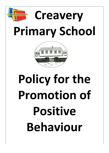



# Policy for the **Promotion of Positive Behaviour**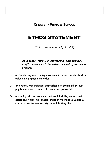**CREAVERY PRIMARY SCHOOL**

# ETHOS STATEMENT

*(Written collaboratively by the staff)*

*As a school family, in partnership with ancillary staff, parents and the wider community, we aim to provide;*

- ➢ **a stimulating and caring environment where each child is valued as a unique individual**
- ➢ **an orderly yet relaxed atmosphere in which all of our pupils can reach their full academic potential**
- ➢ **nurturing of the personal and social skills, values and attitudes which will enable children to make a valuable contribution to the society in which they live**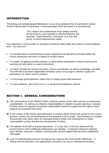# INTRODUCTION

'Promoting and sustaining good Behaviour' is one of six strands of the Government's recent School Improvement Programme. In the associated DENI document it is stressed that:

> *'The creation and maintenance of an orderly working environment is a pre-requisite to effective learning and teaching. Pupil behaviour is therefore, in a very real sense, a school improvement matter…'*

Any statement of school policy on discipline should be made within the context of clearly defined aims. Our aims are:

- To develop whole-school behaviour policy supported and followed by all those within the school community and which is based on shared values
- To create, by applying positive policies, a caring family atmosphere in which teaching and learning can take place in a safe environment
- To teach, through the school curriculum, values and attitudes as well as knowledge and skills. This will help to promote responsible behaviour and to encourage in children respect for themselves, for others and for property
- To encourage good behaviour rather than to simply punish bad behaviour
- To treat problems, when they occur, in a caring and sympathetic manner

### SECTION 1. GENERAL CONSIDERATIONS

- **1)** The central thrust of the Children Order is that the welfare of the child must be our paramount consideration. As well as our statutory responsibilities in relation to pupils' learning, Creavery Primary School recognises its pastoral responsibility towards its pupils and the right of those pupils to be protected from harm.
- **2)** In the context of the school, good behaviour is conduct which assists the school to carry out its function, namely the full development of the potential of all its pupils. Bad behaviour is conduct that prevents this, either when an individual hinders his/her own development or when unacceptable conduct disrupts the development of others.
- **3)** The attitude of all staff is of great importance. It is they who, in the end, determine the environment in which staff/pupil relationships can develop. A teacher's influence depends upon attitude, character, example, teaching skills and the rapport that has been established with pupils.
- **4)** Lack of understanding and lack of progress are reasons why some pupils misbehave. It follows that the provision of an appropriate curriculum, the use of motivational teaching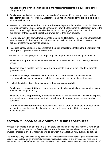methods and the involvement of all pupils are important ingredients of a successful school discipline policy.

- **5)** Pupils are more likely to accept a school's code of behaviour if it is clearly understood and consistently applied. Accordingly, acceptance and implementation of the school's policies by all staff are important.
- **6)** Prevention is always better than cure. It is therefore important for pupils to know that they are under supervision. The presence of staff on duty, or of the teacher in the classroom **before** the lesson is due to begin, is a more effective way of promoting good behaviour than the punishment of those caught misbehaving when left to their own devices.
- **7)** Poor behaviour often stems from personal problems or difficulties. It is important, therefore, to look for reasons for bad behaviour. The aim of pastoral support should be to prevent poor behaviour rather than simply to act on it.
- **8)** In all disciplinary actions it is essential that the pupil understands that it is the **behaviour**, not the **pupil** as a person, that is unacceptable.

There are certain principles, which underpin any plan to promote and sustain good behaviour:

- Pupils have a **right** to receive their education in an environment which is positive, safe and secure
- Teachers have a **right** to receive timely and appropriate support in their efforts to promote good behaviour
- Parents have a **right** to be kept informed about the school's discipline policy and the procedures by which they can approach the school to discuss any matters of concern

To each of the **rights** above there is a counter-balancing **responsibility**:

- Pupils have a **responsibility** to respect their school, teachers and fellow-pupils and to accept the school's discipline policy
- Teachers have a **responsibility** to develop an ethos in their classroom which values all pupils and to make appropriate use of strategies which promote, recognise and reward positive behaviour
- Parents have a **responsibility** to demonstrate to their children that they are in support of the school, to accept the school's discipline policy and to co-operate with the school in its implementation.

# SECTION 2. GOOD BEHAVIOUR/DISCIPLINE PROCEDURES

Whilst if is desirable to be seen to treat all children/incidents in a consistent manner, our duty of care to the children and our professional experience dictates that we take account of domestic, physical, emotional or other factors known to us which may affect an individual child's actions

*The following 3 steps are as much a procedure for the recognition/reinforcement of good behaviour and achievement as they are an attempt at modifying undesirable behaviour and attitude. They are also a means of assisting individual teachers and the school in maintaining an accurate and up-to-date record of*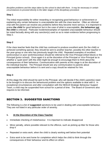*discipline problems and the steps taken by the school to deal with them. It may be necessary in certain circumstances to proceed directly to the latter stages of the disciplinary procedure*

#### **Step 1**

The initial responsibility for either rewarding or recognising good behaviour or achievement or explaining why certain behaviour is unacceptable lies with the class teacher. Often an informal chat with the parent can resolve any problems before they become more serious. It is important to praise **the child** for good behaviour but in the case of what is unacceptable, **the behaviour not the child** is criticised. Particular incidents/examples of repeated unacceptable behaviour should be noted factually along with any sanction(s) used so as to retain evidence before progressing to Step 2.

#### **Step 2**

If the class teacher feels that the child has continued to produce excellent work (for the child) or achieved something special, they should be sent to another teacher, possibly the other teacher in the year-group or one who has previously taught the child. Repeated examples of excellent work/conduct or poor work/misconduct should be referred to the Vice-Principal (infant block) or the Principal (junior school). Once again it is at the discretion of the Principal or Vice-Principal as to whether a 'quiet word' with the child might be enough to encourage them to think about the consequences of their behaviour. Communication with parents at this stage is at the discretion of the individual teacher. The Principal should see any communication to parents about unacceptable behaviour before it is sent and a copy should be retained for him.

#### **Step 3**

At this stage the child should be sent to the Principal, who will decide if the child's parent(s) need to be brought in to discuss the behavioural problem and the options available to deal with it. In exceptional circumstances and after consultation with the NEELB Strategic Behaviour Support Team, a child may be suspended from school for a period of time. The Board of Governors also requires to be informed.

# SECTION 3. SUGGESTED SANCTIONS

The following is a list of **suggested** sanctions to be used in dealing with unacceptable behaviour. They are not listed in any particular order of severity.

#### **1. At the Discretion of the Class Teacher**

- Immediate checking of misbehaviour. It is important to indicate disapproval
- Minor penalty, where possible relevant to the offence, such as picking up litter for those who drop it
- Repeated or extra work, when the child is clearly working well below their potential
- Extra work to be sent home for completion which helps the child to think through the consequences of their behaviour and its effect on others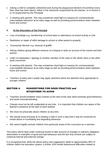- Asking a child to complete unfinished work during the playground element of lunchtime (once their meal has been taken), either in the classroom (supervised by the teacher, or in Rooms 5 or 15 (supervised by the Principal)
- A meeting with parents. This may sometimes shed light on reasons for uncharacteristic unacceptable behaviour at an early stage as well as providing joint/consistent action between home and school

#### **2. At the Discretion of the Principal**

- Loss of privilege e.g. membership of school team or attendance at school activity or visit
- Restitution or repair of wilful damage to school or other person's property
- 'Community Service' e.g. removal of graffiti
- Asking children giving different versions of a dispute to write an account of the events and their actions
- Letter of explanation / apology to another member of the class or the whole class or the other adult concerned
- A meeting with parents. This may sometimes shed light on reasons for uncharacteristic unacceptable behaviour at an early stage as well as providing joint/consistent action between home and school
- Teachers of early year's pupils may apply sanctions which are deemed more appropriate to younger children

#### SECTION 4. SUGGESTIONS FOR GOOD PRACTICE and SITUATIONS TO AVOID

- Teachers should establish class routines at the start of the year which promote good behaviour and avoid misunderstanding
- Classes must not be left unattended at any time. It is important that children are aware of the teacher's presence at the start of each session
- We must not physically abuse children at any time
- We should avoid shouting at or treating a child in such a way that it may be construed as verbal abuse or humiliating and degrading behaviour
- We cannot legally exclude children from particular areas of the curriculum as a sanction

This policy will be kept under continual review to take account of changes in statutory obligation, observation of examples of good and bad behaviour and the fact that schools are subject to continual internal and external change

It is recognised that, while the above policy and suggestions relate to approximately 90% of children within the education system, a further 10% exhibit behavioural difficulties related to